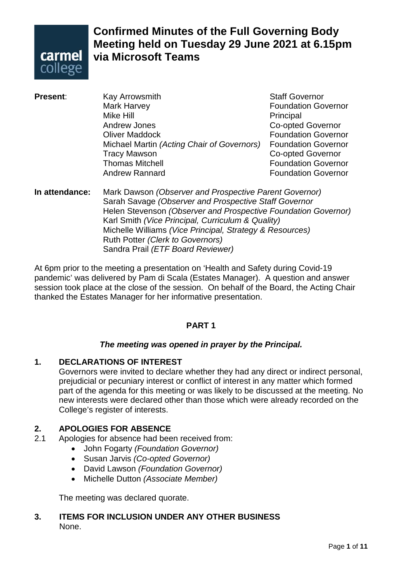

# **Confirmed Minutes of the Full Governing Body Meeting held on Tuesday 29 June 2021 at 6.15pm via Microsoft Teams**

- **Present**: Kay Arrowsmith **Resent**: Kay Arrowsmith Staff Governor<br>Mark Harvey **Staff Governor Foundation Governor** Mike Hill Principal Co-opted Governor **Oliver Maddock COLLEGE CONVERTS EXAMPLE FOUNDATION GOVERNOT** Michael Martin *(Acting Chair of Governors)* Foundation Governor Tracy Mawson **Co-opted Governor Thomas Mitchell Contract Contract Contract Contract Contract Contract Contract Contract Contract Contract Contract Contract Contract Contract Contract Contract Contract Contract Contract Contract Contract Contract Contrac** Andrew Rannard Foundation Governor
- **In attendance:** Mark Dawson *(Observer and Prospective Parent Governor)* Sarah Savage *(Observer and Prospective Staff Governor* Helen Stevenson *(Observer and Prospective Foundation Governor)* Karl Smith *(Vice Principal, Curriculum & Quality)* Michelle Williams *(Vice Principal, Strategy & Resources)* Ruth Potter *(Clerk to Governors)* Sandra Prail *(ETF Board Reviewer)*

At 6pm prior to the meeting a presentation on 'Health and Safety during Covid-19 pandemic' was delivered by Pam di Scala (Estates Manager). A question and answer session took place at the close of the session. On behalf of the Board, the Acting Chair thanked the Estates Manager for her informative presentation.

# **PART 1**

# *The meeting was opened in prayer by the Principal.*

# **1. DECLARATIONS OF INTEREST**

Governors were invited to declare whether they had any direct or indirect personal, prejudicial or pecuniary interest or conflict of interest in any matter which formed part of the agenda for this meeting or was likely to be discussed at the meeting. No new interests were declared other than those which were already recorded on the College's register of interests.

# **2. APOLOGIES FOR ABSENCE**

- Apologies for absence had been received from:
	- John Fogarty *(Foundation Governor)*
	- Susan Jarvis *(Co-opted Governor)*
	- David Lawson *(Foundation Governor)*
	- Michelle Dutton *(Associate Member)*

The meeting was declared quorate.

# **3. ITEMS FOR INCLUSION UNDER ANY OTHER BUSINESS** None.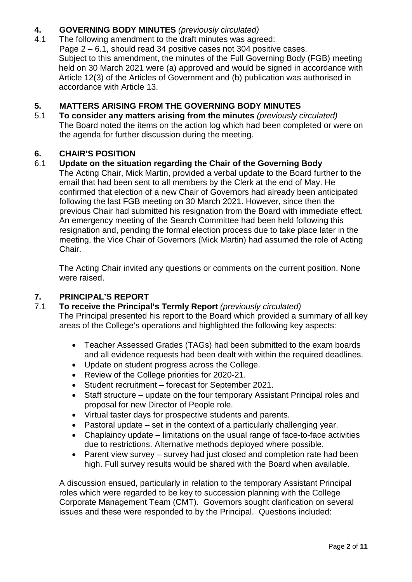# **4. GOVERNING BODY MINUTES** *(previously circulated)*

The following amendment to the draft minutes was agreed: Page 2 – 6.1, should read 34 positive cases not 304 positive cases. Subject to this amendment, the minutes of the Full Governing Body (FGB) meeting held on 30 March 2021 were (a) approved and would be signed in accordance with Article 12(3) of the Articles of Government and (b) publication was authorised in accordance with Article 13.

# **5. MATTERS ARISING FROM THE GOVERNING BODY MINUTES**

5.1 **To consider any matters arising from the minutes** *(previously circulated)* The Board noted the items on the action log which had been completed or were on the agenda for further discussion during the meeting.

# **6. CHAIR'S POSITION**

# 6.1 **Update on the situation regarding the Chair of the Governing Body**

The Acting Chair, Mick Martin, provided a verbal update to the Board further to the email that had been sent to all members by the Clerk at the end of May. He confirmed that election of a new Chair of Governors had already been anticipated following the last FGB meeting on 30 March 2021. However, since then the previous Chair had submitted his resignation from the Board with immediate effect. An emergency meeting of the Search Committee had been held following this resignation and, pending the formal election process due to take place later in the meeting, the Vice Chair of Governors (Mick Martin) had assumed the role of Acting Chair.

The Acting Chair invited any questions or comments on the current position. None were raised.

# **7. PRINCIPAL'S REPORT**

#### 7.1 **To receive the Principal's Termly Report** *(previously circulated)* The Principal presented his report to the Board which provided a summary of all key areas of the College's operations and highlighted the following key aspects:

- Teacher Assessed Grades (TAGs) had been submitted to the exam boards and all evidence requests had been dealt with within the required deadlines.
- Update on student progress across the College.
- Review of the College priorities for 2020-21.
- Student recruitment forecast for September 2021.
- Staff structure update on the four temporary Assistant Principal roles and proposal for new Director of People role.
- Virtual taster days for prospective students and parents.
- Pastoral update set in the context of a particularly challenging year.
- Chaplaincy update limitations on the usual range of face-to-face activities due to restrictions. Alternative methods deployed where possible.
- Parent view survey survey had just closed and completion rate had been high. Full survey results would be shared with the Board when available.

A discussion ensued, particularly in relation to the temporary Assistant Principal roles which were regarded to be key to succession planning with the College Corporate Management Team (CMT). Governors sought clarification on several issues and these were responded to by the Principal. Questions included: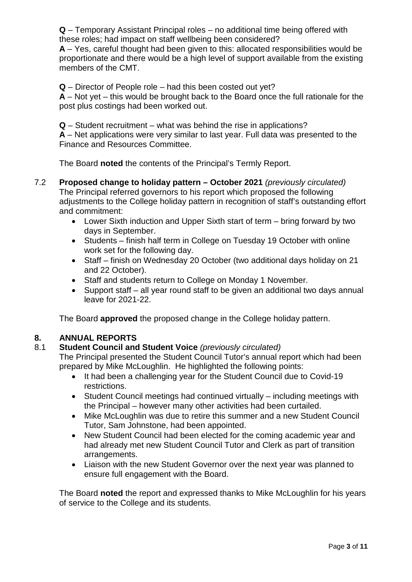**Q** – Temporary Assistant Principal roles – no additional time being offered with these roles; had impact on staff wellbeing been considered?

**A** – Yes, careful thought had been given to this: allocated responsibilities would be proportionate and there would be a high level of support available from the existing members of the CMT.

**Q** – Director of People role – had this been costed out yet?

**A** – Not yet – this would be brought back to the Board once the full rationale for the post plus costings had been worked out.

**Q** – Student recruitment – what was behind the rise in applications?

**A** – Net applications were very similar to last year. Full data was presented to the Finance and Resources Committee.

The Board **noted** the contents of the Principal's Termly Report.

- 7.2 **Proposed change to holiday pattern – October 2021** *(previously circulated)* The Principal referred governors to his report which proposed the following adjustments to the College holiday pattern in recognition of staff's outstanding effort and commitment:
	- Lower Sixth induction and Upper Sixth start of term bring forward by two days in September.
	- Students finish half term in College on Tuesday 19 October with online work set for the following day.
	- Staff finish on Wednesday 20 October (two additional days holiday on 21 and 22 October).
	- Staff and students return to College on Monday 1 November.
	- Support staff all year round staff to be given an additional two days annual leave for 2021-22.

The Board **approved** the proposed change in the College holiday pattern.

# **8. ANNUAL REPORTS**

8.1 **Student Council and Student Voice** *(previously circulated)*

The Principal presented the Student Council Tutor's annual report which had been prepared by Mike McLoughlin. He highlighted the following points:

- It had been a challenging year for the Student Council due to Covid-19 restrictions.
- Student Council meetings had continued virtually including meetings with the Principal – however many other activities had been curtailed.
- Mike McLoughlin was due to retire this summer and a new Student Council Tutor, Sam Johnstone, had been appointed.
- New Student Council had been elected for the coming academic year and had already met new Student Council Tutor and Clerk as part of transition arrangements.
- Liaison with the new Student Governor over the next year was planned to ensure full engagement with the Board.

The Board **noted** the report and expressed thanks to Mike McLoughlin for his years of service to the College and its students.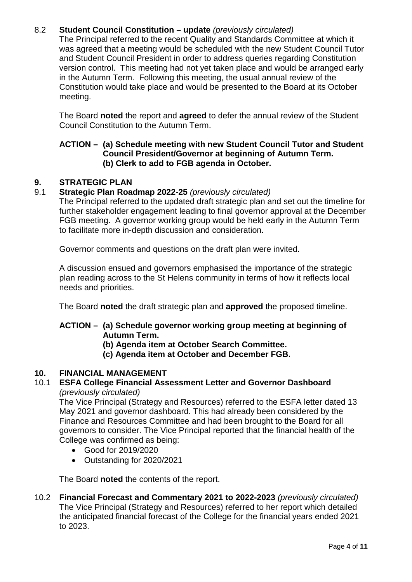# 8.2 **Student Council Constitution – update** *(previously circulated)*

The Principal referred to the recent Quality and Standards Committee at which it was agreed that a meeting would be scheduled with the new Student Council Tutor and Student Council President in order to address queries regarding Constitution version control. This meeting had not yet taken place and would be arranged early in the Autumn Term. Following this meeting, the usual annual review of the Constitution would take place and would be presented to the Board at its October meeting.

The Board **noted** the report and **agreed** to defer the annual review of the Student Council Constitution to the Autumn Term.

# **ACTION – (a) Schedule meeting with new Student Council Tutor and Student Council President/Governor at beginning of Autumn Term. (b) Clerk to add to FGB agenda in October.**

# **9. STRATEGIC PLAN**

# 9.1 **Strategic Plan Roadmap 2022-25** *(previously circulated)*

The Principal referred to the updated draft strategic plan and set out the timeline for further stakeholder engagement leading to final governor approval at the December FGB meeting. A governor working group would be held early in the Autumn Term to facilitate more in-depth discussion and consideration.

Governor comments and questions on the draft plan were invited.

A discussion ensued and governors emphasised the importance of the strategic plan reading across to the St Helens community in terms of how it reflects local needs and priorities.

The Board **noted** the draft strategic plan and **approved** the proposed timeline.

# **ACTION – (a) Schedule governor working group meeting at beginning of Autumn Term.**

# **(b) Agenda item at October Search Committee.**

**(c) Agenda item at October and December FGB.**

# **10. FINANCIAL MANAGEMENT**

#### 10.1 **ESFA College Financial Assessment Letter and Governor Dashboard** *(previously circulated)*

The Vice Principal (Strategy and Resources) referred to the ESFA letter dated 13 May 2021 and governor dashboard. This had already been considered by the Finance and Resources Committee and had been brought to the Board for all governors to consider. The Vice Principal reported that the financial health of the College was confirmed as being:

- Good for 2019/2020
- Outstanding for 2020/2021

The Board **noted** the contents of the report.

10.2 **Financial Forecast and Commentary 2021 to 2022-2023** *(previously circulated)* The Vice Principal (Strategy and Resources) referred to her report which detailed the anticipated financial forecast of the College for the financial years ended 2021 to 2023.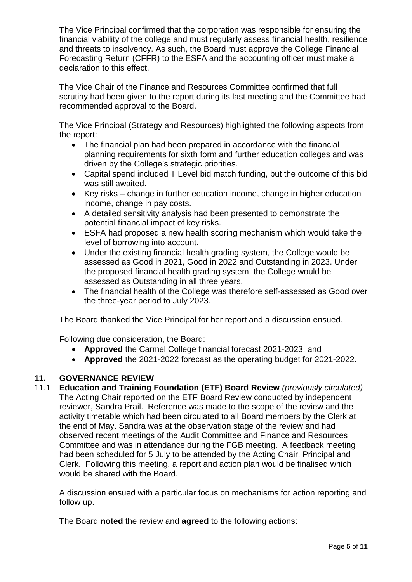The Vice Principal confirmed that the corporation was responsible for ensuring the financial viability of the college and must regularly assess financial health, resilience and threats to insolvency. As such, the Board must approve the College Financial Forecasting Return (CFFR) to the ESFA and the accounting officer must make a declaration to this effect.

The Vice Chair of the Finance and Resources Committee confirmed that full scrutiny had been given to the report during its last meeting and the Committee had recommended approval to the Board.

The Vice Principal (Strategy and Resources) highlighted the following aspects from the report:

- The financial plan had been prepared in accordance with the financial planning requirements for sixth form and further education colleges and was driven by the College's strategic priorities.
- Capital spend included T Level bid match funding, but the outcome of this bid was still awaited.
- Key risks change in further education income, change in higher education income, change in pay costs.
- A detailed sensitivity analysis had been presented to demonstrate the potential financial impact of key risks.
- ESFA had proposed a new health scoring mechanism which would take the level of borrowing into account.
- Under the existing financial health grading system, the College would be assessed as Good in 2021, Good in 2022 and Outstanding in 2023. Under the proposed financial health grading system, the College would be assessed as Outstanding in all three years.
- The financial health of the College was therefore self-assessed as Good over the three-year period to July 2023.

The Board thanked the Vice Principal for her report and a discussion ensued.

Following due consideration, the Board:

- **Approved** the Carmel College financial forecast 2021-2023, and
- **Approved** the 2021-2022 forecast as the operating budget for 2021-2022.

# **11. GOVERNANCE REVIEW**

11.1 **Education and Training Foundation (ETF) Board Review** *(previously circulated)* The Acting Chair reported on the ETF Board Review conducted by independent reviewer, Sandra Prail. Reference was made to the scope of the review and the activity timetable which had been circulated to all Board members by the Clerk at the end of May. Sandra was at the observation stage of the review and had observed recent meetings of the Audit Committee and Finance and Resources Committee and was in attendance during the FGB meeting. A feedback meeting had been scheduled for 5 July to be attended by the Acting Chair, Principal and Clerk. Following this meeting, a report and action plan would be finalised which would be shared with the Board.

A discussion ensued with a particular focus on mechanisms for action reporting and follow up.

The Board **noted** the review and **agreed** to the following actions: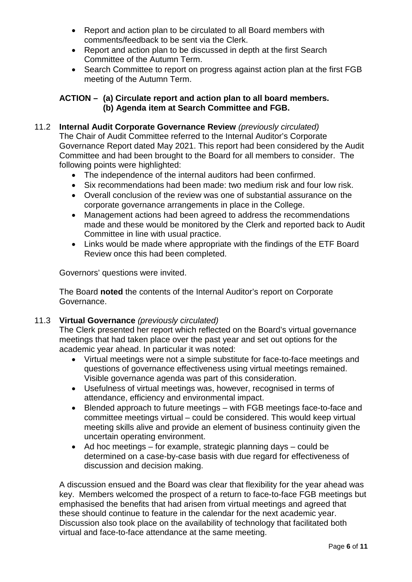- Report and action plan to be circulated to all Board members with comments/feedback to be sent via the Clerk.
- Report and action plan to be discussed in depth at the first Search Committee of the Autumn Term.
- Search Committee to report on progress against action plan at the first FGB meeting of the Autumn Term.

# **ACTION – (a) Circulate report and action plan to all board members. (b) Agenda item at Search Committee and FGB.**

# 11.2 **Internal Audit Corporate Governance Review** *(previously circulated)* The Chair of Audit Committee referred to the Internal Auditor's Corporate Governance Report dated May 2021. This report had been considered by the Audit Committee and had been brought to the Board for all members to consider. The following points were highlighted:

- The independence of the internal auditors had been confirmed.
- Six recommendations had been made: two medium risk and four low risk.
- Overall conclusion of the review was one of substantial assurance on the corporate governance arrangements in place in the College.
- Management actions had been agreed to address the recommendations made and these would be monitored by the Clerk and reported back to Audit Committee in line with usual practice.
- Links would be made where appropriate with the findings of the ETF Board Review once this had been completed.

Governors' questions were invited.

The Board **noted** the contents of the Internal Auditor's report on Corporate Governance.

# 11.3 **Virtual Governance** *(previously circulated)*

The Clerk presented her report which reflected on the Board's virtual governance meetings that had taken place over the past year and set out options for the academic year ahead. In particular it was noted:

- Virtual meetings were not a simple substitute for face-to-face meetings and questions of governance effectiveness using virtual meetings remained. Visible governance agenda was part of this consideration.
- Usefulness of virtual meetings was, however, recognised in terms of attendance, efficiency and environmental impact.
- Blended approach to future meetings with FGB meetings face-to-face and committee meetings virtual – could be considered. This would keep virtual meeting skills alive and provide an element of business continuity given the uncertain operating environment.
- Ad hoc meetings for example, strategic planning days could be determined on a case-by-case basis with due regard for effectiveness of discussion and decision making.

A discussion ensued and the Board was clear that flexibility for the year ahead was key. Members welcomed the prospect of a return to face-to-face FGB meetings but emphasised the benefits that had arisen from virtual meetings and agreed that these should continue to feature in the calendar for the next academic year. Discussion also took place on the availability of technology that facilitated both virtual and face-to-face attendance at the same meeting.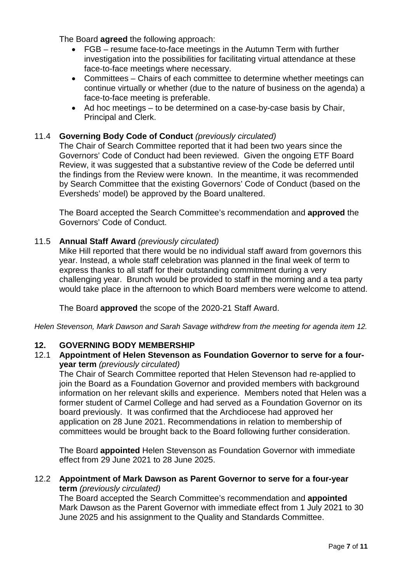The Board **agreed** the following approach:

- FGB resume face-to-face meetings in the Autumn Term with further investigation into the possibilities for facilitating virtual attendance at these face-to-face meetings where necessary.
- Committees Chairs of each committee to determine whether meetings can continue virtually or whether (due to the nature of business on the agenda) a face-to-face meeting is preferable.
- Ad hoc meetings to be determined on a case-by-case basis by Chair, Principal and Clerk.

# 11.4 **Governing Body Code of Conduct** *(previously circulated)*

The Chair of Search Committee reported that it had been two years since the Governors' Code of Conduct had been reviewed. Given the ongoing ETF Board Review, it was suggested that a substantive review of the Code be deferred until the findings from the Review were known. In the meantime, it was recommended by Search Committee that the existing Governors' Code of Conduct (based on the Eversheds' model) be approved by the Board unaltered.

The Board accepted the Search Committee's recommendation and **approved** the Governors' Code of Conduct.

# 11.5 **Annual Staff Award** *(previously circulated)*

Mike Hill reported that there would be no individual staff award from governors this year. Instead, a whole staff celebration was planned in the final week of term to express thanks to all staff for their outstanding commitment during a very challenging year. Brunch would be provided to staff in the morning and a tea party would take place in the afternoon to which Board members were welcome to attend.

The Board **approved** the scope of the 2020-21 Staff Award.

*Helen Stevenson, Mark Dawson and Sarah Savage withdrew from the meeting for agenda item 12.*

# **12. GOVERNING BODY MEMBERSHIP**

12.1 **Appointment of Helen Stevenson as Foundation Governor to serve for a fouryear term** *(previously circulated)*

The Chair of Search Committee reported that Helen Stevenson had re-applied to join the Board as a Foundation Governor and provided members with background information on her relevant skills and experience. Members noted that Helen was a former student of Carmel College and had served as a Foundation Governor on its board previously. It was confirmed that the Archdiocese had approved her application on 28 June 2021. Recommendations in relation to membership of committees would be brought back to the Board following further consideration.

The Board **appointed** Helen Stevenson as Foundation Governor with immediate effect from 29 June 2021 to 28 June 2025.

#### 12.2 **Appointment of Mark Dawson as Parent Governor to serve for a four-year term** *(previously circulated)*

The Board accepted the Search Committee's recommendation and **appointed**  Mark Dawson as the Parent Governor with immediate effect from 1 July 2021 to 30 June 2025 and his assignment to the Quality and Standards Committee.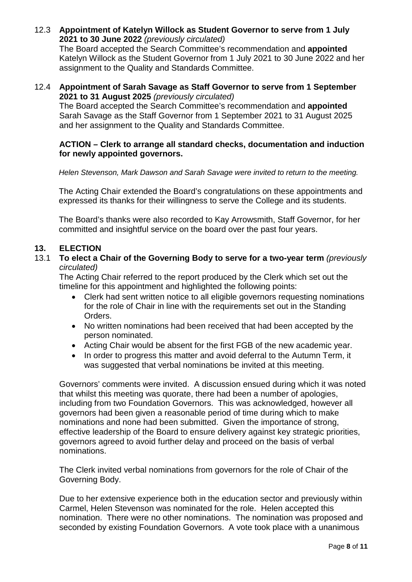12.3 **Appointment of Katelyn Willock as Student Governor to serve from 1 July 2021 to 30 June 2022** *(previously circulated)*

The Board accepted the Search Committee's recommendation and **appointed**  Katelyn Willock as the Student Governor from 1 July 2021 to 30 June 2022 and her assignment to the Quality and Standards Committee.

#### 12.4 **Appointment of Sarah Savage as Staff Governor to serve from 1 September 2021 to 31 August 2025** *(previously circulated)*

The Board accepted the Search Committee's recommendation and **appointed**  Sarah Savage as the Staff Governor from 1 September 2021 to 31 August 2025 and her assignment to the Quality and Standards Committee.

#### **ACTION – Clerk to arrange all standard checks, documentation and induction for newly appointed governors.**

*Helen Stevenson, Mark Dawson and Sarah Savage were invited to return to the meeting.*

The Acting Chair extended the Board's congratulations on these appointments and expressed its thanks for their willingness to serve the College and its students.

The Board's thanks were also recorded to Kay Arrowsmith, Staff Governor, for her committed and insightful service on the board over the past four years.

# **13. ELECTION**

13.1 **To elect a Chair of the Governing Body to serve for a two-year term** *(previously circulated)*

The Acting Chair referred to the report produced by the Clerk which set out the timeline for this appointment and highlighted the following points:

- Clerk had sent written notice to all eligible governors requesting nominations for the role of Chair in line with the requirements set out in the Standing Orders.
- No written nominations had been received that had been accepted by the person nominated.
- Acting Chair would be absent for the first FGB of the new academic year.
- In order to progress this matter and avoid deferral to the Autumn Term, it was suggested that verbal nominations be invited at this meeting.

Governors' comments were invited. A discussion ensued during which it was noted that whilst this meeting was quorate, there had been a number of apologies, including from two Foundation Governors. This was acknowledged, however all governors had been given a reasonable period of time during which to make nominations and none had been submitted. Given the importance of strong, effective leadership of the Board to ensure delivery against key strategic priorities, governors agreed to avoid further delay and proceed on the basis of verbal nominations.

The Clerk invited verbal nominations from governors for the role of Chair of the Governing Body.

Due to her extensive experience both in the education sector and previously within Carmel, Helen Stevenson was nominated for the role. Helen accepted this nomination. There were no other nominations. The nomination was proposed and seconded by existing Foundation Governors. A vote took place with a unanimous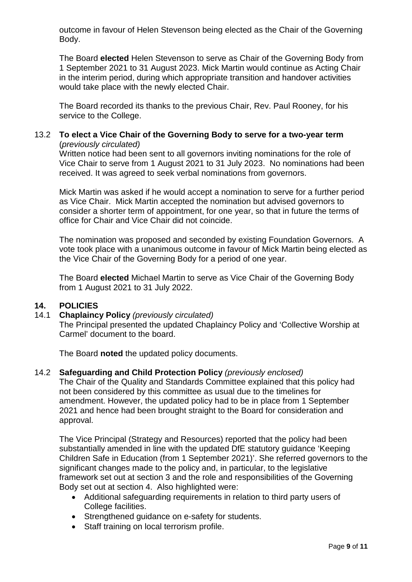outcome in favour of Helen Stevenson being elected as the Chair of the Governing Body.

The Board **elected** Helen Stevenson to serve as Chair of the Governing Body from 1 September 2021 to 31 August 2023. Mick Martin would continue as Acting Chair in the interim period, during which appropriate transition and handover activities would take place with the newly elected Chair.

The Board recorded its thanks to the previous Chair, Rev. Paul Rooney, for his service to the College.

# 13.2 **To elect a Vice Chair of the Governing Body to serve for a two-year term** (*previously circulated)*

Written notice had been sent to all governors inviting nominations for the role of Vice Chair to serve from 1 August 2021 to 31 July 2023. No nominations had been received. It was agreed to seek verbal nominations from governors.

Mick Martin was asked if he would accept a nomination to serve for a further period as Vice Chair. Mick Martin accepted the nomination but advised governors to consider a shorter term of appointment, for one year, so that in future the terms of office for Chair and Vice Chair did not coincide.

The nomination was proposed and seconded by existing Foundation Governors. A vote took place with a unanimous outcome in favour of Mick Martin being elected as the Vice Chair of the Governing Body for a period of one year.

The Board **elected** Michael Martin to serve as Vice Chair of the Governing Body from 1 August 2021 to 31 July 2022.

# **14. POLICIES**

#### 14.1 **Chaplaincy Policy** *(previously circulated)*

The Principal presented the updated Chaplaincy Policy and 'Collective Worship at Carmel' document to the board.

The Board **noted** the updated policy documents.

14.2 **Safeguarding and Child Protection Policy** *(previously enclosed)*

The Chair of the Quality and Standards Committee explained that this policy had not been considered by this committee as usual due to the timelines for amendment. However, the updated policy had to be in place from 1 September 2021 and hence had been brought straight to the Board for consideration and approval.

The Vice Principal (Strategy and Resources) reported that the policy had been substantially amended in line with the updated DfE statutory guidance 'Keeping Children Safe in Education (from 1 September 2021)'. She referred governors to the significant changes made to the policy and, in particular, to the legislative framework set out at section 3 and the role and responsibilities of the Governing Body set out at section 4. Also highlighted were:

- Additional safeguarding requirements in relation to third party users of College facilities.
- Strengthened guidance on e-safety for students.
- Staff training on local terrorism profile.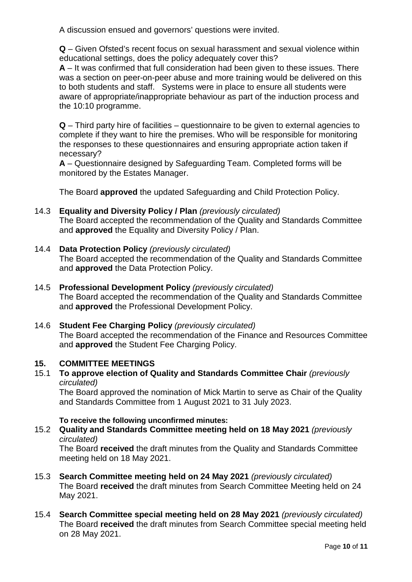A discussion ensued and governors' questions were invited.

**Q** – Given Ofsted's recent focus on sexual harassment and sexual violence within educational settings, does the policy adequately cover this?

**A** – It was confirmed that full consideration had been given to these issues. There was a section on peer-on-peer abuse and more training would be delivered on this to both students and staff. Systems were in place to ensure all students were aware of appropriate/inappropriate behaviour as part of the induction process and the 10:10 programme.

**Q** – Third party hire of facilities – questionnaire to be given to external agencies to complete if they want to hire the premises. Who will be responsible for monitoring the responses to these questionnaires and ensuring appropriate action taken if necessary?

**A** – Questionnaire designed by Safeguarding Team. Completed forms will be monitored by the Estates Manager.

The Board **approved** the updated Safeguarding and Child Protection Policy.

# 14.3 **Equality and Diversity Policy / Plan** *(previously circulated)*

The Board accepted the recommendation of the Quality and Standards Committee and **approved** the Equality and Diversity Policy / Plan.

# 14.4 **Data Protection Policy** *(previously circulated)*

The Board accepted the recommendation of the Quality and Standards Committee and **approved** the Data Protection Policy.

# 14.5 **Professional Development Policy** *(previously circulated)*

The Board accepted the recommendation of the Quality and Standards Committee and **approved** the Professional Development Policy.

14.6 **Student Fee Charging Policy** *(previously circulated)* The Board accepted the recommendation of the Finance and Resources Committee and **approved** the Student Fee Charging Policy.

# **15. COMMITTEE MEETINGS**

# 15.1 **To approve election of Quality and Standards Committee Chair** *(previously circulated)*

The Board approved the nomination of Mick Martin to serve as Chair of the Quality and Standards Committee from 1 August 2021 to 31 July 2023.

# **To receive the following unconfirmed minutes:**

# 15.2 **Quality and Standards Committee meeting held on 18 May 2021** *(previously circulated)*

The Board **received** the draft minutes from the Quality and Standards Committee meeting held on 18 May 2021.

- 15.3 **Search Committee meeting held on 24 May 2021** *(previously circulated)* The Board **received** the draft minutes from Search Committee Meeting held on 24 May 2021.
- 15.4 **Search Committee special meeting held on 28 May 2021** *(previously circulated)* The Board **received** the draft minutes from Search Committee special meeting held on 28 May 2021.